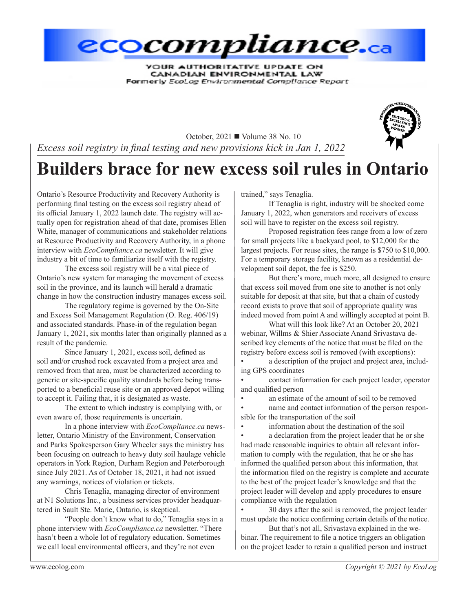

**YOUR AUTHORITATIVE UPDATE ON** CANADIAN ENVIRONMENTAL LAW Formerly EcoLog Environmental Compliance Report



October, 2021 **■** Volume 38 No. 10 *Excess soil registry in final testing and new provisions kick in Jan 1, 2022*

# **Builders brace for new excess soil rules in Ontario**

Ontario's Resource Productivity and Recovery Authority is performing final testing on the excess soil registry ahead of its official January 1, 2022 launch date. The registry will actually open for registration ahead of that date, promises Ellen White, manager of communications and stakeholder relations at Resource Productivity and Recovery Authority, in a phone interview with *EcoCompliance.ca* newsletter. It will give industry a bit of time to familiarize itself with the registry.

The excess soil registry will be a vital piece of Ontario's new system for managing the movement of excess soil in the province, and its launch will herald a dramatic change in how the construction industry manages excess soil.

The regulatory regime is governed by the On-Site and Excess Soil Management Regulation (O. Reg. 406/19) and associated standards. Phase-in of the regulation began January 1, 2021, six months later than originally planned as a result of the pandemic.

Since January 1, 2021, excess soil, defined as soil and/or crushed rock excavated from a project area and removed from that area, must be characterized according to generic or site-specific quality standards before being transported to a beneficial reuse site or an approved depot willing to accept it. Failing that, it is designated as waste.

The extent to which industry is complying with, or even aware of, those requirements is uncertain.

In a phone interview with *EcoCompliance.ca* newsletter, Ontario Ministry of the Environment, Conservation and Parks Spokesperson Gary Wheeler says the ministry has been focusing on outreach to heavy duty soil haulage vehicle operators in York Region, Durham Region and Peterborough since July 2021. As of October 18, 2021, it had not issued any warnings, notices of violation or tickets.

Chris Tenaglia, managing director of environment at N1 Solutions Inc., a business services provider headquartered in Sault Ste. Marie, Ontario, is skeptical.

"People don't know what to do," Tenaglia says in a phone interview with *EcoCompliance.ca* newsletter. "There hasn't been a whole lot of regulatory education. Sometimes we call local environmental officers, and they're not even

trained," says Tenaglia.

If Tenaglia is right, industry will be shocked come January 1, 2022, when generators and receivers of excess soil will have to register on the excess soil registry.

Proposed registration fees range from a low of zero for small projects like a backyard pool, to \$12,000 for the largest projects. For reuse sites, the range is \$750 to \$10,000. For a temporary storage facility, known as a residential development soil depot, the fee is \$250.

But there's more, much more, all designed to ensure that excess soil moved from one site to another is not only suitable for deposit at that site, but that a chain of custody record exists to prove that soil of appropriate quality was indeed moved from point A and willingly accepted at point B.

What will this look like? At an October 20, 2021 webinar, Willms & Shier Associate Anand Srivastava described key elements of the notice that must be filed on the registry before excess soil is removed (with exceptions):

a description of the project and project area, including GPS coordinates

contact information for each project leader, operator and qualified person

an estimate of the amount of soil to be removed

name and contact information of the person responsible for the transportation of the soil

information about the destination of the soil

a declaration from the project leader that he or she had made reasonable inquiries to obtain all relevant information to comply with the regulation, that he or she has informed the qualified person about this information, that the information filed on the registry is complete and accurate to the best of the project leader's knowledge and that the project leader will develop and apply procedures to ensure compliance with the regulation

• 30 days after the soil is removed, the project leader must update the notice confirming certain details of the notice.

But that's not all, Srivastava explained in the webinar. The requirement to file a notice triggers an obligation on the project leader to retain a qualified person and instruct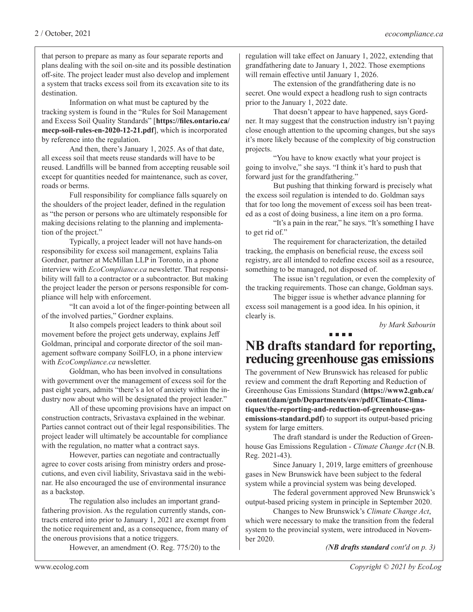that person to prepare as many as four separate reports and plans dealing with the soil on-site and its possible destination off-site. The project leader must also develop and implement a system that tracks excess soil from its excavation site to its destination.

Information on what must be captured by the tracking system is found in the "Rules for Soil Management and Excess Soil Quality Standards" [**https://files.ontario.ca/ mecp-soil-rules-en-2020-12-21.pdf**], which is incorporated by reference into the regulation.

And then, there's January 1, 2025. As of that date, all excess soil that meets reuse standards will have to be reused. Landfills will be banned from accepting reusable soil except for quantities needed for maintenance, such as cover, roads or berms.

Full responsibility for compliance falls squarely on the shoulders of the project leader, defined in the regulation as "the person or persons who are ultimately responsible for making decisions relating to the planning and implementation of the project."

Typically, a project leader will not have hands-on responsibility for excess soil management, explains Talia Gordner, partner at McMillan LLP in Toronto, in a phone interview with *EcoCompliance.ca* newsletter. That responsibility will fall to a contractor or a subcontractor. But making the project leader the person or persons responsible for compliance will help with enforcement.

"It can avoid a lot of the finger-pointing between all of the involved parties," Gordner explains.

It also compels project leaders to think about soil movement before the project gets underway, explains Jeff Goldman, principal and corporate director of the soil management software company SoilFLO, in a phone interview with *EcoCompliance.ca* newsletter.

Goldman, who has been involved in consultations with government over the management of excess soil for the past eight years, admits "there's a lot of anxiety within the industry now about who will be designated the project leader."

All of these upcoming provisions have an impact on construction contracts, Srivastava explained in the webinar. Parties cannot contract out of their legal responsibilities. The project leader will ultimately be accountable for compliance with the regulation, no matter what a contract says.

However, parties can negotiate and contractually agree to cover costs arising from ministry orders and prosecutions, and even civil liability, Srivastava said in the webinar. He also encouraged the use of environmental insurance as a backstop.

The regulation also includes an important grandfathering provision. As the regulation currently stands, contracts entered into prior to January 1, 2021 are exempt from the notice requirement and, as a consequence, from many of the onerous provisions that a notice triggers.

However, an amendment (O. Reg. 775/20) to the

regulation will take effect on January 1, 2022, extending that grandfathering date to January 1, 2022. Those exemptions will remain effective until January 1, 2026.

The extension of the grandfathering date is no secret. One would expect a headlong rush to sign contracts prior to the January 1, 2022 date.

That doesn't appear to have happened, says Gordner. It may suggest that the construction industry isn't paying close enough attention to the upcoming changes, but she says it's more likely because of the complexity of big construction projects.

"You have to know exactly what your project is going to involve," she says. "I think it's hard to push that forward just for the grandfathering."

But pushing that thinking forward is precisely what the excess soil regulation is intended to do. Goldman says that for too long the movement of excess soil has been treated as a cost of doing business, a line item on a pro forma.

"It's a pain in the rear," he says. "It's something I have to get rid of."

The requirement for characterization, the detailed tracking, the emphasis on beneficial reuse, the excess soil registry, are all intended to redefine excess soil as a resource, something to be managed, not disposed of.

The issue isn't regulation, or even the complexity of the tracking requirements. Those can change, Goldman says.

The bigger issue is whether advance planning for excess soil management is a good idea. In his opinion, it clearly is.

*by Mark Sabourin*

## **NB drafts standard for reporting, reducing greenhouse gas emissions**

The government of New Brunswick has released for public review and comment the draft Reporting and Reduction of Greenhouse Gas Emissions Standard (**https://www2.gnb.ca/ content/dam/gnb/Departments/env/pdf/Climate-Climatiques/the-reporting-and-reduction-of-greenhouse-gasemissions-standard.pdf**) to support its output-based pricing system for large emitters.

The draft standard is under the Reduction of Greenhouse Gas Emissions Regulation - *Climate Change Act* (N.B. Reg. 2021-43).

Since January 1, 2019, large emitters of greenhouse gases in New Brunswick have been subject to the federal system while a provincial system was being developed.

The federal government approved New Brunswick's output-based pricing system in principle in September 2020.

Changes to New Brunswick's *Climate Change Act*, which were necessary to make the transition from the federal system to the provincial system, were introduced in November 2020.

*(NB drafts standard cont'd on p. 3)*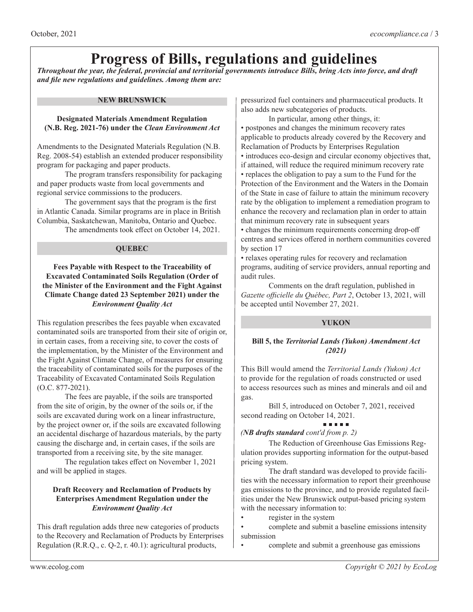# **Progress of Bills, regulations and guidelines**

*Throughout the year, the federal, provincial and territorial governments introduce Bills, bring Acts into force, and draft and file new regulations and guidelines. Among them are:*

#### **NEW BRUNSWICK**

#### **Designated Materials Amendment Regulation (N.B. Reg. 2021-76) under the** *Clean Environment Act*

Amendments to the Designated Materials Regulation (N.B. Reg. 2008-54) establish an extended producer responsibility program for packaging and paper products.

The program transfers responsibility for packaging and paper products waste from local governments and regional service commissions to the producers.

The government says that the program is the first in Atlantic Canada. Similar programs are in place in British Columbia, Saskatchewan, Manitoba, Ontario and Quebec. The amendments took effect on October 14, 2021.

#### **QUEBEC**

#### **Fees Payable with Respect to the Traceability of Excavated Contaminated Soils Regulation (Order of the Minister of the Environment and the Fight Against Climate Change dated 23 September 2021) under the**  *Environment Quality Act*

This regulation prescribes the fees payable when excavated contaminated soils are transported from their site of origin or, in certain cases, from a receiving site, to cover the costs of the implementation, by the Minister of the Environment and the Fight Against Climate Change, of measures for ensuring the traceability of contaminated soils for the purposes of the Traceability of Excavated Contaminated Soils Regulation (O.C. 877-2021).

The fees are payable, if the soils are transported from the site of origin, by the owner of the soils or, if the soils are excavated during work on a linear infrastructure, by the project owner or, if the soils are excavated following an accidental discharge of hazardous materials, by the party causing the discharge and, in certain cases, if the soils are transported from a receiving site, by the site manager.

The regulation takes effect on November 1, 2021 and will be applied in stages.

#### **Draft Recovery and Reclamation of Products by Enterprises Amendment Regulation under the**  *Environment Quality Act*

This draft regulation adds three new categories of products to the Recovery and Reclamation of Products by Enterprises Regulation (R.R.Q., c. Q-2, r. 40.1): agricultural products,

pressurized fuel containers and pharmaceutical products. It also adds new subcategories of products.

In particular, among other things, it:

• postpones and changes the minimum recovery rates applicable to products already covered by the Recovery and Reclamation of Products by Enterprises Regulation • introduces eco-design and circular economy objectives that, if attained, will reduce the required minimum recovery rate • replaces the obligation to pay a sum to the Fund for the Protection of the Environment and the Waters in the Domain of the State in case of failure to attain the minimum recovery

rate by the obligation to implement a remediation program to enhance the recovery and reclamation plan in order to attain that minimum recovery rate in subsequent years

• changes the minimum requirements concerning drop-off centres and services offered in northern communities covered by section 17

• relaxes operating rules for recovery and reclamation programs, auditing of service providers, annual reporting and audit rules.

Comments on the draft regulation, published in *Gazette officielle du Québec, Part 2*, October 13, 2021, will be accepted until November 27, 2021.

#### **YUKON**

#### **Bill 5, the** *Territorial Lands (Yukon) Amendment Act (2021)*

This Bill would amend the *Territorial Lands (Yukon) Act* to provide for the regulation of roads constructed or used to access resources such as mines and minerals and oil and gas.

Bill 5, introduced on October 7, 2021, received second reading on October 14, 2021.

#### **ALCOHOL:**

#### *(NB drafts standard cont'd from p. 2)*

The Reduction of Greenhouse Gas Emissions Regulation provides supporting information for the output-based pricing system.

The draft standard was developed to provide facilities with the necessary information to report their greenhouse gas emissions to the province, and to provide regulated facilities under the New Brunswick output-based pricing system with the necessary information to:

register in the system

• complete and submit a baseline emissions intensity submission

• complete and submit a greenhouse gas emissions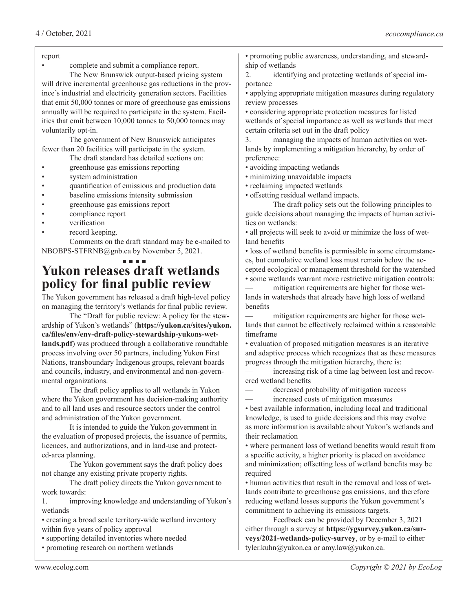#### report

• complete and submit a compliance report.

The New Brunswick output-based pricing system will drive incremental greenhouse gas reductions in the province's industrial and electricity generation sectors. Facilities that emit 50,000 tonnes or more of greenhouse gas emissions annually will be required to participate in the system. Facilities that emit between 10,000 tonnes to 50,000 tonnes may voluntarily opt-in.

The government of New Brunswick anticipates fewer than 20 facilities will participate in the system.

- The draft standard has detailed sections on: • greenhouse gas emissions reporting
- system administration
- quantification of emissions and production data
- baseline emissions intensity submission
- greenhouse gas emissions report
- compliance report
- verification
- record keeping.

Comments on the draft standard may be e-mailed to NBOBPS-STFRNB@gnb.ca by November 5, 2021.

### **Yukon releases draft wetlands policy for final public review**

The Yukon government has released a draft high-level policy on managing the territory's wetlands for final public review.

The "Draft for public review: A policy for the stewardship of Yukon's wetlands" (**https://yukon.ca/sites/yukon. ca/files/env/env-draft-policy-stewardship-yukons-wetlands.pdf**) was produced through a collaborative roundtable process involving over 50 partners, including Yukon First Nations, transboundary Indigenous groups, relevant boards and councils, industry, and environmental and non-governmental organizations.

The draft policy applies to all wetlands in Yukon where the Yukon government has decision-making authority and to all land uses and resource sectors under the control and administration of the Yukon government.

It is intended to guide the Yukon government in the evaluation of proposed projects, the issuance of permits, licences, and authorizations, and in land-use and protected-area planning.

The Yukon government says the draft policy does not change any existing private property rights.

The draft policy directs the Yukon government to work towards:

1. improving knowledge and understanding of Yukon's wetlands

• creating a broad scale territory-wide wetland inventory within five years of policy approval

• supporting detailed inventories where needed

• promoting research on northern wetlands

• promoting public awareness, understanding, and stewardship of wetlands

2. identifying and protecting wetlands of special importance

• applying appropriate mitigation measures during regulatory review processes

• considering appropriate protection measures for listed wetlands of special importance as well as wetlands that meet certain criteria set out in the draft policy

3. managing the impacts of human activities on wetlands by implementing a mitigation hierarchy, by order of preference:

- avoiding impacting wetlands
- minimizing unavoidable impacts
- reclaiming impacted wetlands
- offsetting residual wetland impacts.

The draft policy sets out the following principles to guide decisions about managing the impacts of human activities on wetlands:

• all projects will seek to avoid or minimize the loss of wetland benefits

• loss of wetland benefits is permissible in some circumstances, but cumulative wetland loss must remain below the accepted ecological or management threshold for the watershed • some wetlands warrant more restrictive mitigation controls:

— mitigation requirements are higher for those wetlands in watersheds that already have high loss of wetland benefits

— mitigation requirements are higher for those wetlands that cannot be effectively reclaimed within a reasonable timeframe

• evaluation of proposed mitigation measures is an iterative and adaptive process which recognizes that as these measures progress through the mitigation hierarchy, there is:

— increasing risk of a time lag between lost and recovered wetland benefits

decreased probability of mitigation success

— increased costs of mitigation measures

• best available information, including local and traditional knowledge, is used to guide decisions and this may evolve as more information is available about Yukon's wetlands and their reclamation

• where permanent loss of wetland benefits would result from a specific activity, a higher priority is placed on avoidance and minimization; offsetting loss of wetland benefits may be required

• human activities that result in the removal and loss of wetlands contribute to greenhouse gas emissions, and therefore reducing wetland losses supports the Yukon government's commitment to achieving its emissions targets.

Feedback can be provided by December 3, 2021 either through a survey at **https://ygsurvey.yukon.ca/surveys/2021-wetlands-policy-survey**, or by e-mail to either tyler.kuhn@yukon.ca or amy.law@yukon.ca.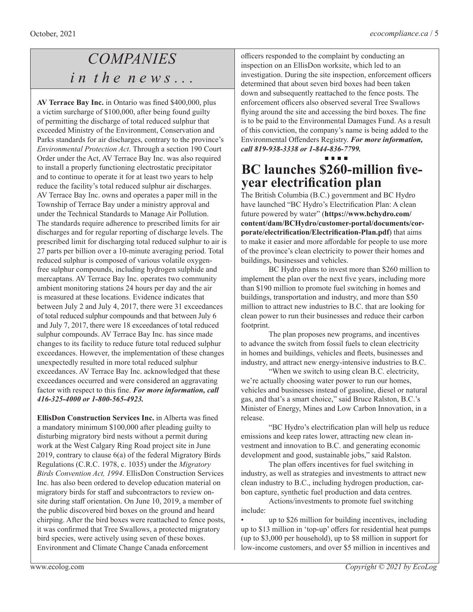## *COMPANIES i n t h e n e w s . . .*

**AV Terrace Bay Inc.** in Ontario was fined \$400,000, plus a victim surcharge of \$100,000, after being found guilty of permitting the discharge of total reduced sulphur that exceeded Ministry of the Environment, Conservation and Parks standards for air discharges, contrary to the province's *Environmental Protection Act*. Through a section 190 Court Order under the Act, AV Terrace Bay Inc. was also required to install a properly functioning electrostatic precipitator and to continue to operate it for at least two years to help reduce the facility's total reduced sulphur air discharges. AV Terrace Bay Inc. owns and operates a paper mill in the Township of Terrace Bay under a ministry approval and under the Technical Standards to Manage Air Pollution. The standards require adherence to prescribed limits for air discharges and for regular reporting of discharge levels. The prescribed limit for discharging total reduced sulphur to air is 27 parts per billion over a 10-minute averaging period. Total reduced sulphur is composed of various volatile oxygenfree sulphur compounds, including hydrogen sulphide and mercaptans. AV Terrace Bay Inc. operates two community ambient monitoring stations 24 hours per day and the air is measured at these locations. Evidence indicates that between July 2 and July 4, 2017, there were 31 exceedances of total reduced sulphur compounds and that between July 6 and July 7, 2017, there were 18 exceedances of total reduced sulphur compounds. AV Terrace Bay Inc. has since made changes to its facility to reduce future total reduced sulphur exceedances. However, the implementation of these changes unexpectedly resulted in more total reduced sulphur exceedances. AV Terrace Bay Inc. acknowledged that these exceedances occurred and were considered an aggravating factor with respect to this fine. *For more information, call 416-325-4000 or 1-800-565-4923.*

**EllisDon Construction Services Inc.** in Alberta was fined a mandatory minimum \$100,000 after pleading guilty to disturbing migratory bird nests without a permit during work at the West Calgary Ring Road project site in June 2019, contrary to clause 6(a) of the federal Migratory Birds Regulations (C.R.C. 1978, c. 1035) under the *Migratory Birds Convention Act, 1994*. EllisDon Construction Services Inc. has also been ordered to develop education material on migratory birds for staff and subcontractors to review onsite during staff orientation. On June 10, 2019, a member of the public discovered bird boxes on the ground and heard chirping. After the bird boxes were reattached to fence posts, it was confirmed that Tree Swallows, a protected migratory bird species, were actively using seven of these boxes. Environment and Climate Change Canada enforcement

officers responded to the complaint by conducting an inspection on an EllisDon worksite, which led to an investigation. During the site inspection, enforcement officers determined that about seven bird boxes had been taken down and subsequently reattached to the fence posts. The enforcement officers also observed several Tree Swallows flying around the site and accessing the bird boxes. The fine is to be paid to the Environmental Damages Fund. As a result of this conviction, the company's name is being added to the Environmental Offenders Registry. *For more information, call 819-938-3338 or 1-844-836-7799.*

## **BC launches \$260-million fiveyear electrification plan**

The British Columbia (B.C.) government and BC Hydro have launched "BC Hydro's Electrification Plan: A clean future powered by water" (**https://www.bchydro.com/ content/dam/BCHydro/customer-portal/documents/corporate/electrification/Electrification-Plan.pdf**) that aims to make it easier and more affordable for people to use more of the province's clean electricity to power their homes and buildings, businesses and vehicles.

BC Hydro plans to invest more than \$260 million to implement the plan over the next five years, including more than \$190 million to promote fuel switching in homes and buildings, transportation and industry, and more than \$50 million to attract new industries to B.C. that are looking for clean power to run their businesses and reduce their carbon footprint.

The plan proposes new programs, and incentives to advance the switch from fossil fuels to clean electricity in homes and buildings, vehicles and fleets, businesses and industry, and attract new energy-intensive industries to B.C.

"When we switch to using clean B.C. electricity, we're actually choosing water power to run our homes, vehicles and businesses instead of gasoline, diesel or natural gas, and that's a smart choice," said Bruce Ralston, B.C.'s Minister of Energy, Mines and Low Carbon Innovation, in a release.

"BC Hydro's electrification plan will help us reduce emissions and keep rates lower, attracting new clean investment and innovation to B.C. and generating economic development and good, sustainable jobs," said Ralston.

The plan offers incentives for fuel switching in industry, as well as strategies and investments to attract new clean industry to B.C., including hydrogen production, carbon capture, synthetic fuel production and data centres.

Actions/investments to promote fuel switching include:

• up to \$26 million for building incentives, including up to \$13 million in 'top-up' offers for residential heat pumps (up to \$3,000 per household), up to \$8 million in support for low-income customers, and over \$5 million in incentives and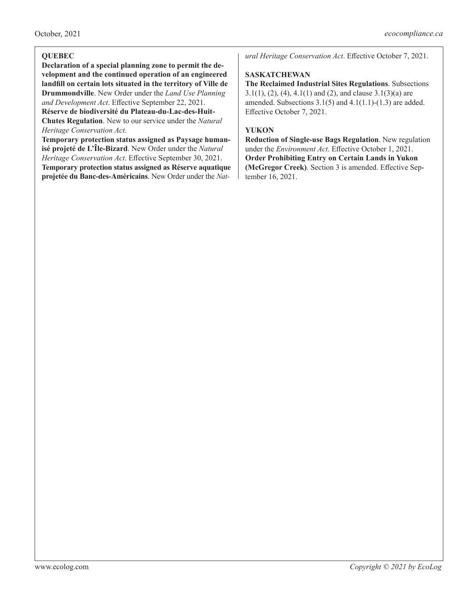#### **QUEBEC**

**Declaration of a special planning zone to permit the development and the continued operation of an engineered landfill on certain lots situated in the territory of Ville de Drummondville**. New Order under the *Land Use Planning and Development Act*. Effective September 22, 2021.

**Réserve de biodiversité du Plateau-du-Lac-des-Huit-Chutes Regulation**. New to our service under the *Natural Heritage Conservation Act*.

**Temporary protection status assigned as Paysage humanisé projeté de L'Île-Bizard**. New Order under the *Natural Heritage Conservation Act*. Effective September 30, 2021. **Temporary protection status assigned as Réserve aquatique projetée du Banc-des-Américains**. New Order under the *Nat-* *ural Heritage Conservation Act*. Effective October 7, 2021.

#### **SASKATCHEWAN**

**The Reclaimed Industrial Sites Regulations**. Subsections 3.1(1), (2), (4), 4.1(1) and (2), and clause 3.1(3)(a) are amended. Subsections  $3.1(5)$  and  $4.1(1.1)-(1.3)$  are added. Effective October 7, 2021.

#### **YUKON**

**Reduction of Single-use Bags Regulation**. New regulation under the *Environment Act*. Effective October 1, 2021. **Order Prohibiting Entry on Certain Lands in Yukon (McGregor Creek)**. Section 3 is amended. Effective September 16, 2021.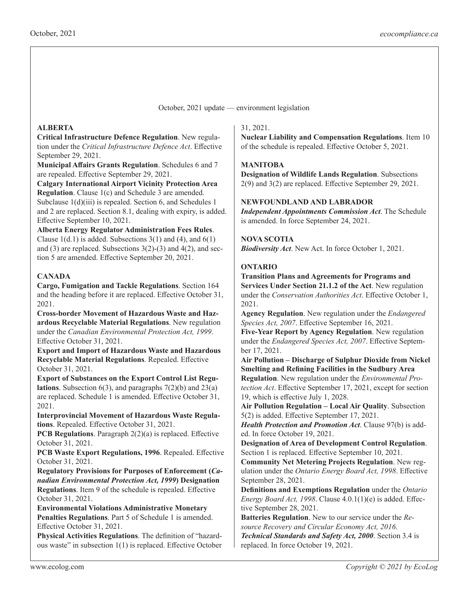October, 2021 update — environment legislation

#### **ALBERTA**

**Critical Infrastructure Defence Regulation**. New regulation under the *Critical Infrastructure Defence Act*. Effective September 29, 2021.

**Municipal Affairs Grants Regulation**. Schedules 6 and 7 are repealed. Effective September 29, 2021.

**Calgary International Airport Vicinity Protection Area Regulation**. Clause 1(c) and Schedule 3 are amended. Subclause  $1(d)(iii)$  is repealed. Section 6, and Schedules 1 and 2 are replaced. Section 8.1, dealing with expiry, is added. Effective September 10, 2021.

**Alberta Energy Regulator Administration Fees Rules**. Clause  $1(d.1)$  is added. Subsections  $3(1)$  and  $(4)$ , and  $6(1)$ and  $(3)$  are replaced. Subsections  $3(2)-(3)$  and  $4(2)$ , and section 5 are amended. Effective September 20, 2021.

#### **CANADA**

**Cargo, Fumigation and Tackle Regulations**. Section 164 and the heading before it are replaced. Effective October 31, 2021.

**Cross-border Movement of Hazardous Waste and Hazardous Recyclable Material Regulations**. New regulation under the *Canadian Environmental Protection Act, 1999*. Effective October 31, 2021.

**Export and Import of Hazardous Waste and Hazardous Recyclable Material Regulations**. Repealed. Effective October 31, 2021.

**Export of Substances on the Export Control List Regulations**. Subsection 6(3), and paragraphs 7(2)(b) and 23(a) are replaced. Schedule 1 is amended. Effective October 31, 2021.

**Interprovincial Movement of Hazardous Waste Regulations**. Repealed. Effective October 31, 2021.

**PCB Regulations.** Paragraph 2(2)(a) is replaced. Effective October 31, 2021.

**PCB Waste Export Regulations, 1996**. Repealed. Effective October 31, 2021.

**Regulatory Provisions for Purposes of Enforcement (***Canadian Environmental Protection Act, 1999***) Designation Regulations**. Item 9 of the schedule is repealed. Effective October 31, 2021.

**Environmental Violations Administrative Monetary Penalties Regulations**. Part 5 of Schedule 1 is amended. Effective October 31, 2021.

**Physical Activities Regulations**. The definition of "hazardous waste" in subsection 1(1) is replaced. Effective October

#### 31, 2021.

**Nuclear Liability and Compensation Regulations**. Item 10 of the schedule is repealed. Effective October 5, 2021.

#### **MANITOBA**

**Designation of Wildlife Lands Regulation**. Subsections 2(9) and 3(2) are replaced. Effective September 29, 2021.

#### **NEWFOUNDLAND AND LABRADOR**

*Independent Appointments Commission Act*. The Schedule is amended. In force September 24, 2021.

#### **NOVA SCOTIA**

*Biodiversity Act*. New Act. In force October 1, 2021.

#### **ONTARIO**

**Transition Plans and Agreements for Programs and Services Under Section 21.1.2 of the Act**. New regulation under the *Conservation Authorities Act*. Effective October 1, 2021.

**Agency Regulation**. New regulation under the *Endangered Species Act, 2007*. Effective September 16, 2021.

**Five-Year Report by Agency Regulation**. New regulation under the *Endangered Species Act, 2007*. Effective September 17, 2021.

**Air Pollution – Discharge of Sulphur Dioxide from Nickel Smelting and Refining Facilities in the Sudbury Area** 

**Regulation**. New regulation under the *Environmental Protection Act*. Effective September 17, 2021, except for section 19, which is effective July 1, 2028.

**Air Pollution Regulation – Local Air Quality**. Subsection 5(2) is added. Effective September 17, 2021.

*Health Protection and Promotion Act*. Clause 97(b) is added. In force October 19, 2021.

**Designation of Area of Development Control Regulation**. Section 1 is replaced. Effective September 10, 2021.

**Community Net Metering Projects Regulation**. New regulation under the *Ontario Energy Board Act, 1998*. Effective September 28, 2021.

**Definitions and Exemptions Regulation** under the *Ontario Energy Board Act, 1998*. Clause 4.0.1(1)(e) is added. Effective September 28, 2021.

**Batteries Regulation**. New to our service under the *Resource Recovery and Circular Economy Act, 2016*. *Technical Standards and Safety Act, 2000*. Section 3.4 is replaced. In force October 19, 2021.